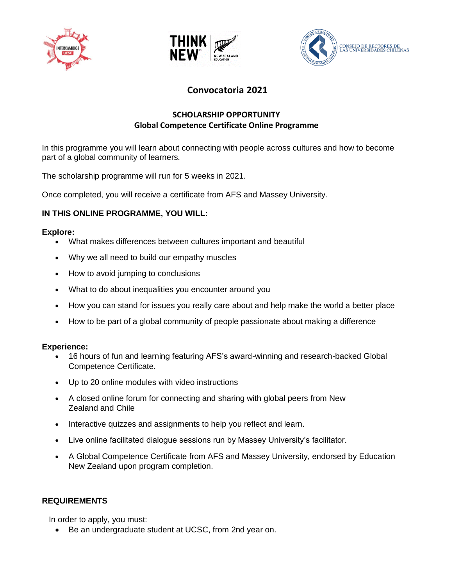





# **Convocatoria 2021**

## **SCHOLARSHIP OPPORTUNITY Global Competence Certificate Online Programme**

In this programme you will learn about connecting with people across cultures and how to become part of a global community of learners.

The scholarship programme will run for 5 weeks in 2021.

Once completed, you will receive a certificate from AFS and Massey University.

## **IN THIS ONLINE PROGRAMME, YOU WILL:**

#### **Explore:**

- What makes differences between cultures important and beautiful
- Why we all need to build our empathy muscles
- How to avoid jumping to conclusions
- What to do about inequalities you encounter around you
- How you can stand for issues you really care about and help make the world a better place
- How to be part of a global community of people passionate about making a difference

#### **Experience:**

- 16 hours of fun and learning featuring AFS's award-winning and research-backed Global Competence Certificate.
- Up to 20 online modules with video instructions
- A closed online forum for connecting and sharing with global peers from New Zealand and Chile
- Interactive quizzes and assignments to help you reflect and learn.
- Live online facilitated dialogue sessions run by Massey University's facilitator.
- A Global Competence Certificate from AFS and Massey University, endorsed by Education New Zealand upon program completion.

## **REQUIREMENTS**

In order to apply, you must:

• Be an undergraduate student at UCSC, from 2nd year on.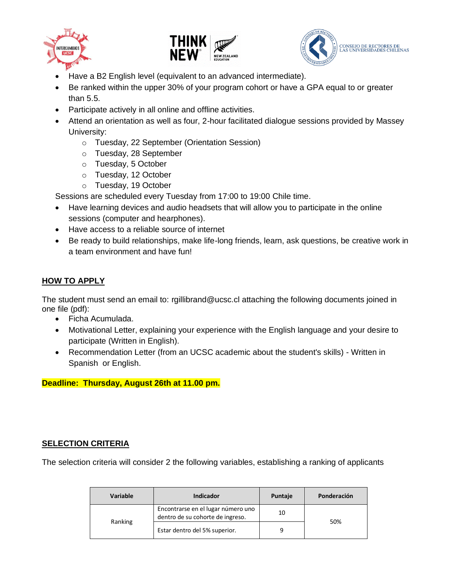





- Have a B2 English level (equivalent to an advanced intermediate).
- Be ranked within the upper 30% of your program cohort or have a GPA equal to or greater than 5.5.
- Participate actively in all online and offline activities.
- Attend an orientation as well as four, 2-hour facilitated dialogue sessions provided by Massey University:
	- o Tuesday, 22 September (Orientation Session)
	- o Tuesday, 28 September
	- o Tuesday, 5 October
	- o Tuesday, 12 October
	- o Tuesday, 19 October

Sessions are scheduled every Tuesday from 17:00 to 19:00 Chile time.

- Have learning devices and audio headsets that will allow you to participate in the online sessions (computer and hearphones).
- Have access to a reliable source of internet
- Be ready to build relationships, make life-long friends, learn, ask questions, be creative work in a team environment and have fun!

## **HOW TO APPLY**

The student must send an email to: rgillibrand@ucsc.cl attaching the following documents joined in one file (pdf):

- Ficha Acumulada.
- Motivational Letter, explaining your experience with the English language and your desire to participate (Written in English).
- Recommendation Letter (from an UCSC academic about the student's skills) Written in Spanish or English.

**Deadline: Thursday, August 26th at 11.00 pm.** 

#### **SELECTION CRITERIA**

The selection criteria will consider 2 the following variables, establishing a ranking of applicants

| <b>Variable</b> | <b>Indicador</b>                                                       | Puntaje | Ponderación |
|-----------------|------------------------------------------------------------------------|---------|-------------|
| Ranking         | Encontrarse en el lugar número uno<br>dentro de su cohorte de ingreso. | 10      | 50%         |
|                 | Estar dentro del 5% superior.                                          | 9       |             |